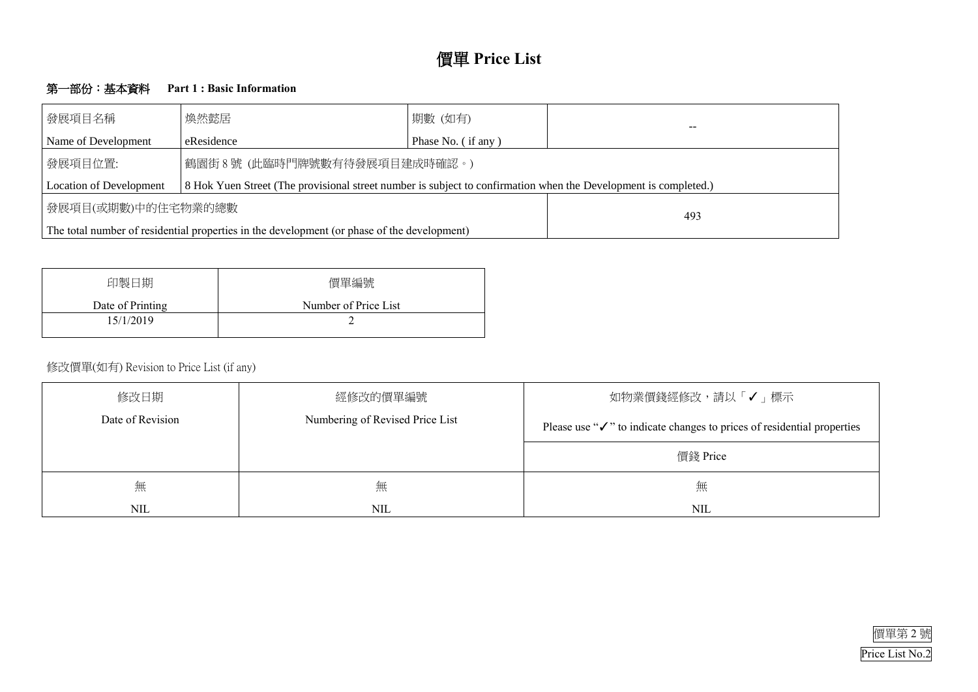

## 第一部份:基本資料 **Part 1 : Basic Information**

| 發展項目名稱                                                                                      | 煥然懿居                                                                                                            |  |  |  |  |  |  |  |  |  |
|---------------------------------------------------------------------------------------------|-----------------------------------------------------------------------------------------------------------------|--|--|--|--|--|--|--|--|--|
| Name of Development                                                                         | Phase No. (if any)<br>eResidence                                                                                |  |  |  |  |  |  |  |  |  |
| 鶴園街8號 (此臨時門牌號數有待發展項目建成時確認。)<br>發展項目位置:                                                      |                                                                                                                 |  |  |  |  |  |  |  |  |  |
| <b>Location of Development</b>                                                              | 8 Hok Yuen Street (The provisional street number is subject to confirmation when the Development is completed.) |  |  |  |  |  |  |  |  |  |
| 發展項目(或期數)中的住宅物業的總數                                                                          | 493                                                                                                             |  |  |  |  |  |  |  |  |  |
| The total number of residential properties in the development (or phase of the development) |                                                                                                                 |  |  |  |  |  |  |  |  |  |

| 印製日期             | 價單編號                 |
|------------------|----------------------|
| Date of Printing | Number of Price List |
| 15/1/2019        |                      |
|                  |                      |

# 修改價單(如有) Revision to Price List (if any)

| 修改日期             | 經修改的價單編號                        | 如物業價錢經修改,請以                                             |
|------------------|---------------------------------|---------------------------------------------------------|
| Date of Revision | Numbering of Revised Price List | Please use " $\checkmark$ " to indicate changes to pric |
|                  |                                 | 價錢 Price                                                |
| 無                | 無                               | 無                                                       |
| NIL              | <b>NIL</b>                      | <b>NIL</b>                                              |



# 「√」標示

ces of residential properties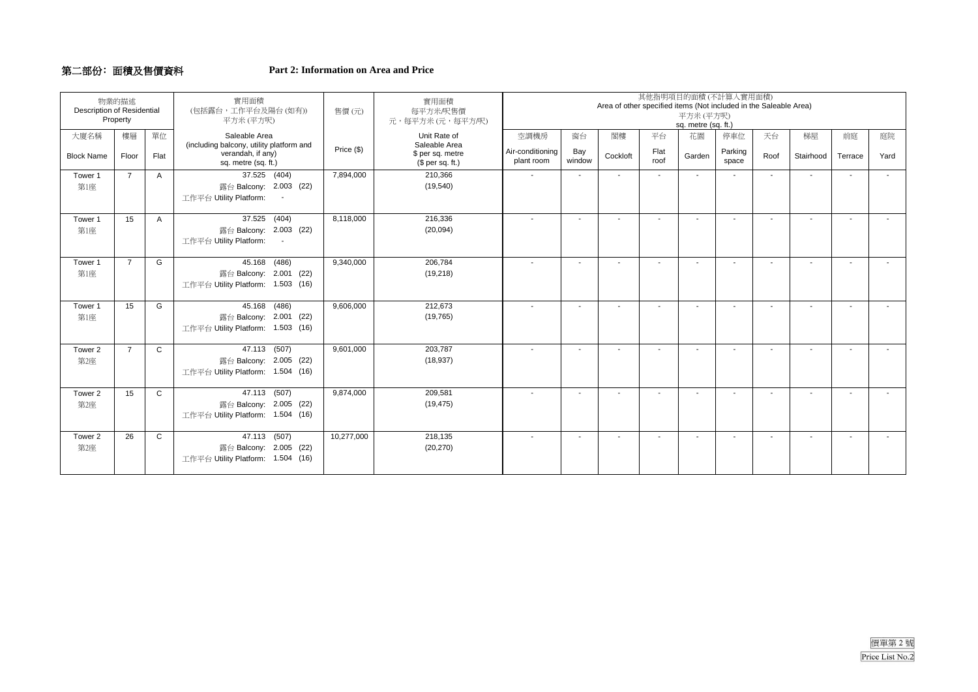#### 第二部份﹕面積及售價資料 **Part 2: Information on Area and Price**

| 物業的描述<br><b>Description of Residential</b><br>Property |                |              | 實用面積<br>(包括露台,工作平台及陽台(如有))<br>平方米(平方呎)                                               | 售價(元)      | 實用面積<br>每平方米/呎售價<br>元,每平方米 (元,每平方/呎)                  | 平方米 (平方呎)<br>sq. metre (sq. ft.) | 其他指明項目的面積(不計算人實用面積)<br>Area of other specified items (Not included in the Saleable Area) |                          |              |                          |                          |                |                          |                          |        |
|--------------------------------------------------------|----------------|--------------|--------------------------------------------------------------------------------------|------------|-------------------------------------------------------|----------------------------------|------------------------------------------------------------------------------------------|--------------------------|--------------|--------------------------|--------------------------|----------------|--------------------------|--------------------------|--------|
| 大廈名稱                                                   | 樓層             | 單位           | Saleable Area                                                                        |            | Unit Rate of                                          | 空調機房                             | 窗台                                                                                       | 閣樓                       | 平台           | 花園                       | 停車位                      | 天台             | 梯屋                       | 前庭                       | 庭院     |
| <b>Block Name</b>                                      | Floor          | Flat         | (including balcony, utility platform and<br>verandah, if any)<br>sq. metre (sq. ft.) | Price (\$) | Saleable Area<br>\$ per sq. metre<br>$$$ per sq. ft.) | Air-conditioning<br>plant room   | Bay<br>window                                                                            | Cockloft                 | Flat<br>roof | Garden                   | Parking<br>space         | Roof           | Stairhood                | Terrace                  | Yard   |
| Tower 1                                                | $\overline{7}$ | Α            | 37.525 (404)                                                                         | 7,894,000  | 210,366                                               | $\sim$                           | $\sim$                                                                                   | $\overline{\phantom{a}}$ |              | $\blacksquare$           | $\overline{\phantom{a}}$ | $\blacksquare$ | $\sim$                   | $\sim$                   | $\sim$ |
| 第1座                                                    |                |              | 露台 Balcony: 2.003 (22)<br>工作平台 Utility Platform:<br>$\sim$                           |            | (19, 540)                                             |                                  |                                                                                          |                          |              |                          |                          |                |                          |                          |        |
| Tower 1                                                | 15             | A            | 37.525 (404)                                                                         | 8,118,000  | 216,336                                               | $\overline{\phantom{a}}$         | $\overline{\phantom{a}}$                                                                 |                          |              | $\blacksquare$           |                          |                | $\overline{\phantom{a}}$ | $\overline{\phantom{a}}$ |        |
| 第1座                                                    |                |              | 露台 Balcony: 2.003 (22)<br>工作平台 Utility Platform:                                     |            | (20,094)                                              |                                  |                                                                                          |                          |              |                          |                          |                |                          |                          |        |
| Tower 1                                                | $\overline{7}$ | G            | 45.168 (486)                                                                         | 9,340,000  | 206,784                                               | $\sim$                           | $\sim$                                                                                   | $\sim$                   |              | $\blacksquare$           | $\sim$                   | $\sim$         | $\sim$                   | $\sim$                   |        |
| 第1座                                                    |                |              | 露台 Balcony: 2.001 (22)<br>工作平台 Utility Platform: 1.503 (16)                          |            | (19, 218)                                             |                                  |                                                                                          |                          |              |                          |                          |                |                          |                          |        |
| Tower 1                                                | 15             | G            | 45.168 (486)                                                                         | 9,606,000  | 212,673                                               | $\sim$                           | $\sim$                                                                                   | $\overline{\phantom{a}}$ |              | $\overline{\phantom{a}}$ |                          |                | $\sim$                   | $\sim$                   |        |
| 第1座                                                    |                |              | 露台 Balcony: 2.001 (22)<br>工作平台 Utility Platform: 1.503 (16)                          |            | (19, 765)                                             |                                  |                                                                                          |                          |              |                          |                          |                |                          |                          |        |
| Tower 2                                                | $\overline{7}$ | $\mathsf{C}$ | 47.113 (507)                                                                         | 9,601,000  | 203,787                                               | $\overline{\phantom{a}}$         | $\overline{\phantom{a}}$                                                                 | $\blacksquare$           |              | $\blacksquare$           |                          | $\blacksquare$ | $\sim$                   | $\overline{\phantom{a}}$ |        |
| 第2座                                                    |                |              | 露台 Balcony: 2.005 (22)<br>工作平台 Utility Platform: 1.504 (16)                          |            | (18, 937)                                             |                                  |                                                                                          |                          |              |                          |                          |                |                          |                          |        |
| Tower 2                                                | 15             | $\mathsf{C}$ | 47.113 (507)                                                                         | 9,874,000  | 209,581                                               | $\sim$                           | $\sim$                                                                                   | $\blacksquare$           | $\sim$       | $\blacksquare$           | $\overline{a}$           | $\overline{a}$ | $\sim$                   | $\sim$                   |        |
| 第2座                                                    |                |              | 露台 Balcony: 2.005 (22)<br>工作平台 Utility Platform: 1.504 (16)                          |            | (19, 475)                                             |                                  |                                                                                          |                          |              |                          |                          |                |                          |                          |        |
| Tower 2                                                | 26             | $\mathbf{C}$ | 47.113 (507)                                                                         | 10,277,000 | 218,135                                               | $\overline{\phantom{a}}$         | $\overline{\phantom{a}}$                                                                 | $\blacksquare$           |              | $\blacksquare$           | $\overline{a}$           | $\overline{a}$ | $\overline{\phantom{a}}$ | $\overline{\phantom{a}}$ |        |
| 第2座                                                    |                |              | 露台 Balcony: 2.005 (22)                                                               |            | (20, 270)                                             |                                  |                                                                                          |                          |              |                          |                          |                |                          |                          |        |
|                                                        |                |              | 工作平台 Utility Platform: 1.504 (16)                                                    |            |                                                       |                                  |                                                                                          |                          |              |                          |                          |                |                          |                          |        |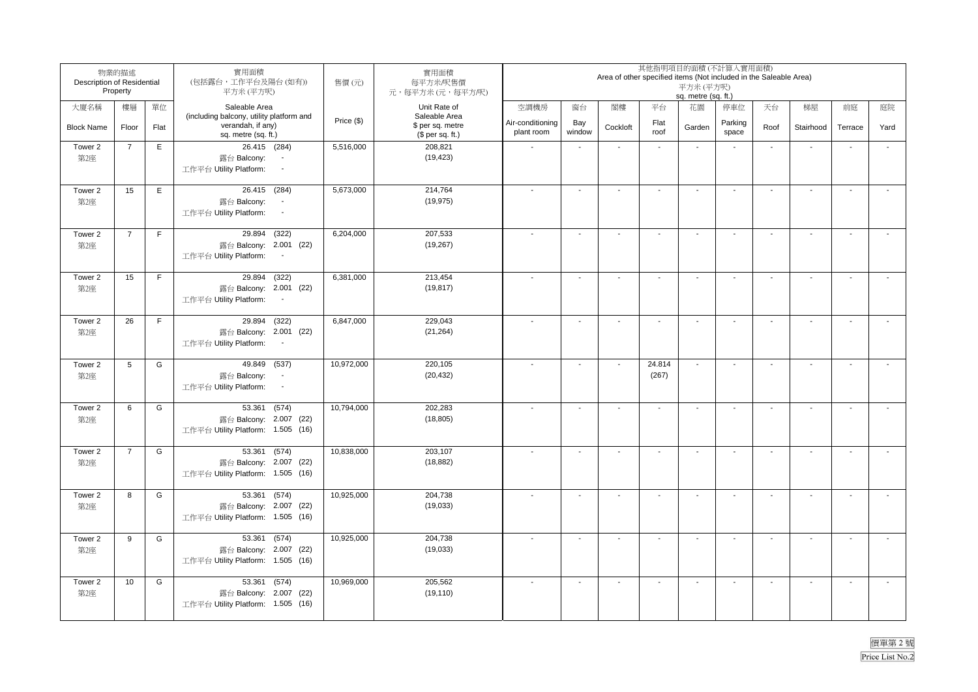| Description of Residential | 物業的描述<br>Property |             | 實用面積<br>(包括露台,工作平台及陽台(如有))<br>平方米(平方呎)                                                       | 售價(元)      | 實用面積<br>每平方米/呎售價<br>元,每平方米(元,每平方/呎)                   |                                |                          | Area of other specified items (Not included in the Saleable Area) |                          | 其他指明項目的面積(不計算入實用面積)<br>平方米(平方呎)<br>sq. metre (sq. ft.) |                  |        |                          |                          |                          |
|----------------------------|-------------------|-------------|----------------------------------------------------------------------------------------------|------------|-------------------------------------------------------|--------------------------------|--------------------------|-------------------------------------------------------------------|--------------------------|--------------------------------------------------------|------------------|--------|--------------------------|--------------------------|--------------------------|
| 大廈名稱                       | 樓層                | 單位          | Saleable Area                                                                                |            | Unit Rate of                                          | 空調機房                           | 窗台                       | 閣樓                                                                | 平台                       | 花園                                                     | 停車位              | 天台     | 梯屋                       | 前庭                       | 庭院                       |
| <b>Block Name</b>          | Floor             | Flat        | (including balcony, utility platform and<br>verandah, if any)<br>sq. metre (sq. ft.)         | Price (\$) | Saleable Area<br>\$ per sq. metre<br>$$$ per sq. ft.) | Air-conditioning<br>plant room | Bay<br>window            | Cockloft                                                          | Flat<br>roof             | Garden                                                 | Parking<br>space | Roof   | Stairhood                | Terrace                  | Yard                     |
| Tower 2<br>第2座             | $\overline{7}$    | E           | 26.415 (284)<br>露台 Balcony:<br>工作平台 Utility Platform:<br>$\sim$                              | 5,516,000  | 208,821<br>(19, 423)                                  |                                | $\overline{\phantom{a}}$ |                                                                   | $\sim$                   | $\sim$                                                 |                  | $\sim$ | $\sim$                   | $\sim$                   | $\overline{a}$           |
| Tower 2<br>第2座             | 15                | Ε           | 26.415 (284)<br>露台 Balcony:<br>$\sim$<br>工作平台 Utility Platform:<br>$\blacksquare$            | 5,673,000  | 214,764<br>(19, 975)                                  |                                | $\sim$                   | $\sim$                                                            | $\sim$                   | $\sim$                                                 |                  | $\sim$ | $\sim$                   | $\sim$                   | $\overline{\phantom{a}}$ |
| Tower 2<br>第2座             | $\overline{7}$    | $\mathsf F$ | 29.894 (322)<br>露台 Balcony: 2.001 (22)<br>工作平台 Utility Platform:<br>$\sim$                   | 6,204,000  | 207,533<br>(19, 267)                                  |                                | $\blacksquare$           | $\overline{a}$                                                    | $\blacksquare$           |                                                        |                  | $\sim$ | $\overline{\phantom{a}}$ | $\overline{\phantom{a}}$ |                          |
| Tower 2<br>第2座             | 15                | F           | 29.894 (322)<br>露台 Balcony: 2.001 (22)<br>工作平台 Utility Platform:<br>$\sim$                   | 6,381,000  | 213,454<br>(19, 817)                                  |                                | $\mathbf{r}$             | $\blacksquare$                                                    | $\sim$                   |                                                        |                  |        | $\sim$                   | $\sim$                   |                          |
| Tower 2<br>第2座             | 26                | $\mathsf F$ | 29.894 (322)<br>露台 Balcony: 2.001 (22)<br>工作平台 Utility Platform:<br>$\sim$                   | 6,847,000  | 229,043<br>(21, 264)                                  |                                | $\sim$                   |                                                                   | $\sim$                   |                                                        |                  | $\sim$ | $\sim$                   | $\sim$                   |                          |
| Tower 2<br>第2座             | 5                 | G           | 49.849 (537)<br>露台 Balcony:<br>$\overline{\phantom{a}}$<br>$\cdot$<br>工作平台 Utility Platform: | 10,972,000 | 220,105<br>(20, 432)                                  |                                | $\overline{\phantom{a}}$ | L.                                                                | 24.814<br>(267)          | $\sim$                                                 |                  | $\sim$ | $\overline{\phantom{a}}$ | $\mathbf{r}$             | $\overline{\phantom{a}}$ |
| Tower 2<br>第2座             | $6\phantom{1}$    | G           | (574)<br>53.361<br>露台 Balcony: 2.007 (22)<br>工作平台 Utility Platform: 1.505 (16)               | 10,794,000 | 202,283<br>(18, 805)                                  |                                | $\blacksquare$           | $\overline{a}$                                                    | $\blacksquare$           | $\overline{\phantom{a}}$                               | $\sim$           | $\sim$ | $\overline{\phantom{a}}$ | $\blacksquare$           | $\blacksquare$           |
| Tower 2<br>第2座             | $\overline{7}$    | G           | 53.361 (574)<br>露台 Balcony: 2.007 (22)<br>工作平台 Utility Platform: 1.505 (16)                  | 10,838,000 | 203,107<br>(18, 882)                                  |                                | $\overline{\phantom{a}}$ | $\overline{a}$                                                    | $\overline{\phantom{a}}$ |                                                        |                  |        | $\overline{\phantom{a}}$ | $\blacksquare$           |                          |
| Tower 2<br>第2座             | 8                 | G           | 53.361 (574)<br>露台 Balcony: 2.007 (22)<br>工作平台 Utility Platform: 1.505 (16)                  | 10,925,000 | 204,738<br>(19,033)                                   | $\sim$                         | $\overline{\phantom{a}}$ | $\sim$                                                            | $\sim$                   | $\sim$                                                 |                  | $\sim$ | $\overline{\phantom{a}}$ | $\sim$                   | $\sim$                   |
| Tower 2<br>第2座             | 9                 | G           | 53.361<br>(574)<br>露台 Balcony: 2.007 (22)<br>工作平台 Utility Platform: 1.505 (16)               | 10,925,000 | 204,738<br>(19,033)                                   |                                | $\blacksquare$           | $\overline{\phantom{a}}$                                          | $\blacksquare$           |                                                        |                  | $\sim$ | $\sim$                   | $\sim$                   |                          |
| Tower 2<br>第2座             | 10                | G           | 53.361<br>(574)<br>露台 Balcony: 2.007 (22)<br>工作平台 Utility Platform: 1.505 (16)               | 10,969,000 | 205,562<br>(19, 110)                                  |                                | $\overline{\phantom{a}}$ | $\overline{\phantom{a}}$                                          | $\mathbf{r}$             |                                                        |                  | $\sim$ | $\blacksquare$           | $\overline{\phantom{a}}$ |                          |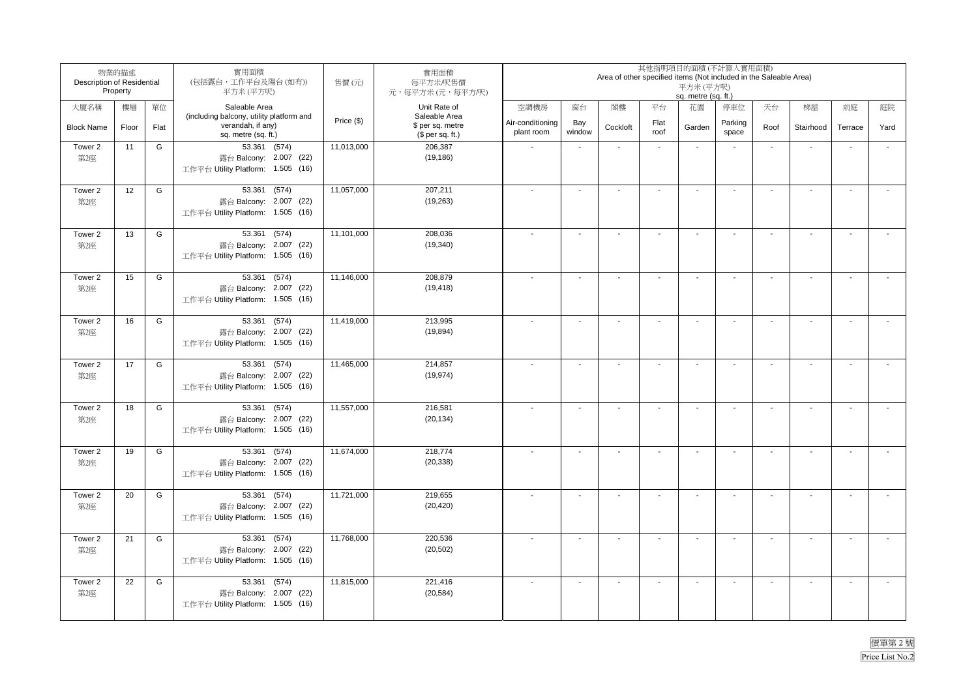| Description of Residential | 物業的描述<br>Property |      | 實用面積<br>(包括露台,工作平台及陽台(如有))<br>平方米 (平方呎)                                              | 售價(元)      | 實用面積<br>每平方米/呎售價<br>元,每平方米(元,每平方/呎)                   | 其他指明項目的面積(不計算入實用面積)<br>Area of other specified items (Not included in the Saleable Area)<br>平方米(平方呎)<br>sq. metre (sq. ft.) |                          |                          |                          |                          |                          |                          |                          |                          |                          |
|----------------------------|-------------------|------|--------------------------------------------------------------------------------------|------------|-------------------------------------------------------|-----------------------------------------------------------------------------------------------------------------------------|--------------------------|--------------------------|--------------------------|--------------------------|--------------------------|--------------------------|--------------------------|--------------------------|--------------------------|
| 大廈名稱                       | 樓層                | 單位   | Saleable Area                                                                        |            | Unit Rate of                                          | 空調機房                                                                                                                        | 窗台                       | 閣樓                       | 平台                       | 花園                       | 停車位                      | 天台                       | 梯屋                       | 前庭                       | 庭院                       |
| <b>Block Name</b>          | Floor             | Flat | (including balcony, utility platform and<br>verandah, if any)<br>sq. metre (sq. ft.) | Price (\$) | Saleable Area<br>\$ per sq. metre<br>$$$ per sq. ft.) | Air-conditioning<br>plant room                                                                                              | Bay<br>window            | Cockloft                 | Flat<br>roof             | Garden                   | Parking<br>space         | Roof                     | Stairhood                | Terrace                  | Yard                     |
| Tower 2<br>第2座             | 11                | G    | 53.361 (574)<br>露台 Balcony: 2.007 (22)<br>工作平台 Utility Platform: 1.505 (16)          | 11,013,000 | 206,387<br>(19, 186)                                  |                                                                                                                             | $\overline{\phantom{a}}$ |                          | ÷.                       | $\ddot{\phantom{a}}$     |                          | $\mathbf{r}$             | $\overline{\phantom{a}}$ | $\mathbf{r}$             | $\overline{\phantom{a}}$ |
| Tower 2<br>第2座             | 12                | G    | 53.361 (574)<br>露台 Balcony: 2.007 (22)<br>工作平台 Utility Platform: 1.505 (16)          | 11,057,000 | 207,211<br>(19, 263)                                  |                                                                                                                             | $\mathbf{r}$             | $\blacksquare$           | $\sim$                   | $\overline{a}$           |                          | $\sim$                   | $\sim$                   | $\sim$                   |                          |
| Tower 2<br>第2座             | 13                | G    | 53.361 (574)<br>露台 Balcony: 2.007 (22)<br>工作平台 Utility Platform: 1.505 (16)          | 11,101,000 | 208,036<br>(19, 340)                                  |                                                                                                                             | $\blacksquare$           | $\overline{\phantom{a}}$ | $\blacksquare$           | $\overline{a}$           |                          | $\sim$                   | $\overline{\phantom{a}}$ | $\sim$                   |                          |
| Tower 2<br>第2座             | 15                | G    | 53.361 (574)<br>露台 Balcony: 2.007 (22)<br>工作平台 Utility Platform: 1.505 (16)          | 11,146,000 | 208,879<br>(19, 418)                                  |                                                                                                                             | $\mathbf{r}$             |                          | $\sim$                   | $\overline{a}$           |                          | $\overline{\phantom{a}}$ | $\overline{\phantom{a}}$ | $\mathbf{r}$             |                          |
| Tower 2<br>第2座             | 16                | G    | 53.361 (574)<br>露台 Balcony: 2.007 (22)<br>工作平台 Utility Platform: 1.505 (16)          | 11,419,000 | 213,995<br>(19, 894)                                  |                                                                                                                             | $\sim$                   | $\blacksquare$           | $\sim$                   | $\sim$                   |                          | $\sim$                   | $\sim$                   | $\sim$                   | $\sim$                   |
| Tower 2<br>第2座             | 17                | G    | 53.361 (574)<br>露台 Balcony: 2.007 (22)<br>工作平台 Utility Platform: 1.505 (16)          | 11,465,000 | 214,857<br>(19, 974)                                  |                                                                                                                             | $\blacksquare$           | $\overline{\phantom{a}}$ | $\blacksquare$           | $\overline{a}$           | $\sim$                   | $\sim$                   | $\overline{\phantom{a}}$ | $\mathbf{r}$             |                          |
| Tower 2<br>第2座             | 18                | G    | 53.361 (574)<br>露台 Balcony: 2.007 (22)<br>工作平台 Utility Platform: 1.505 (16)          | 11,557,000 | 216,581<br>(20, 134)                                  |                                                                                                                             | $\blacksquare$           | $\overline{\phantom{a}}$ | $\blacksquare$           | $\overline{\phantom{a}}$ |                          | $\blacksquare$           | $\sim$                   | $\overline{\phantom{a}}$ |                          |
| Tower 2<br>第2座             | 19                | G    | 53.361 (574)<br>露台 Balcony: 2.007 (22)<br>工作平台 Utility Platform: 1.505 (16)          | 11,674,000 | 218,774<br>(20, 338)                                  |                                                                                                                             | $\sim$                   | $\blacksquare$           | $\blacksquare$           | $\overline{\phantom{a}}$ |                          |                          | $\sim$                   | $\sim$                   |                          |
| Tower 2<br>第2座             | 20                | G    | 53.361 (574)<br>露台 Balcony: 2.007 (22)<br>工作平台 Utility Platform: 1.505 (16)          | 11,721,000 | 219,655<br>(20, 420)                                  |                                                                                                                             | $\sim$                   | $\blacksquare$           | $\sim$                   | $\overline{\phantom{a}}$ | $\overline{\phantom{a}}$ | $\sim$                   | $\sim$                   | $\sim$                   | $\overline{\phantom{a}}$ |
| Tower 2<br>第2座             | 21                | G    | 53.361<br>(574)<br>露台 Balcony: 2.007 (22)<br>工作平台 Utility Platform: 1.505 (16)       | 11,768,000 | 220,536<br>(20, 502)                                  |                                                                                                                             | $\overline{\phantom{a}}$ | $\overline{\phantom{a}}$ | $\overline{a}$           | $\ddot{\phantom{a}}$     |                          | $\sim$                   | $\sim$                   | $\sim$                   | $\overline{\phantom{a}}$ |
| Tower 2<br>第2座             | 22                | G    | 53.361 (574)<br>露台 Balcony: 2.007 (22)<br>工作平台 Utility Platform: 1.505 (16)          | 11,815,000 | 221,416<br>(20, 584)                                  |                                                                                                                             | $\blacksquare$           |                          | $\overline{\phantom{a}}$ |                          |                          |                          | $\overline{\phantom{a}}$ | $\blacksquare$           |                          |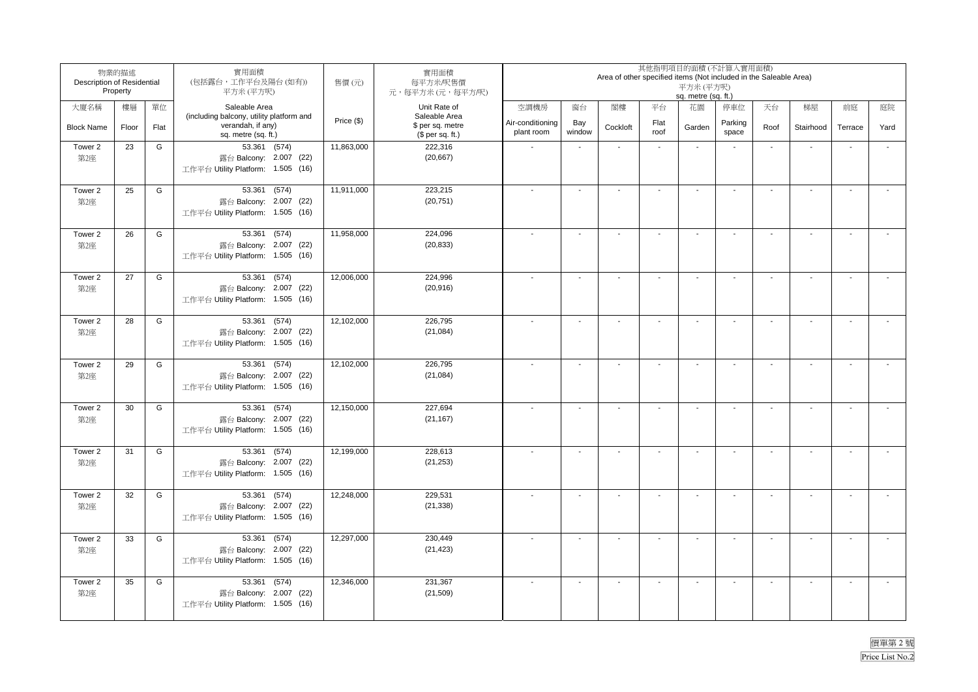|                   | 物業的描述<br>Description of Residential<br>Property |      | 實用面積<br>(包括露台,工作平台及陽台(如有))<br>平方米(平方呎)                                               | 售價(元)                     | 實用面積<br>每平方米/呎售價<br>元,每平方米(元,每平方/呎)                   |                                |                          | Area of other specified items (Not included in the Saleable Area) |                          | 其他指明項目的面積(不計算入實用面積)<br>平方米 (平方呎)<br>sq. metre (sq. ft.) |                  |        |                          |                          |        |
|-------------------|-------------------------------------------------|------|--------------------------------------------------------------------------------------|---------------------------|-------------------------------------------------------|--------------------------------|--------------------------|-------------------------------------------------------------------|--------------------------|---------------------------------------------------------|------------------|--------|--------------------------|--------------------------|--------|
| 大廈名稱              | 樓層                                              | 單位   | Saleable Area                                                                        |                           | Unit Rate of                                          | 空調機房                           | 窗台                       | 閣樓                                                                | 平台                       | 花園                                                      | 停車位              | 天台     | 梯屋                       | 前庭                       | 庭院     |
| <b>Block Name</b> | Floor                                           | Flat | (including balcony, utility platform and<br>verandah, if any)<br>sq. metre (sq. ft.) | Price (\$)                | Saleable Area<br>\$ per sq. metre<br>$$$ per sq. ft.) | Air-conditioning<br>plant room | Bay<br>window            | Cockloft                                                          | Flat<br>roof             | Garden                                                  | Parking<br>space | Roof   | Stairhood                | Terrace                  | Yard   |
| Tower 2<br>第2座    | 23                                              | G    | 53.361 (574)<br>露台 Balcony: 2.007 (22)<br>工作平台 Utility Platform: 1.505 (16)          | 11,863,000                | 222,316<br>(20, 667)                                  |                                | $\mathbf{r}$             |                                                                   | ÷                        | $\overline{a}$                                          |                  | $\sim$ | $\sim$                   | $\sim$                   | $\sim$ |
| Tower 2<br>第2座    | 25                                              | G    | 53.361 (574)<br>露台 Balcony: 2.007 (22)<br>工作平台 Utility Platform: 1.505 (16)          | 11,911,000                | 223,215<br>(20, 751)                                  | $\overline{a}$                 | $\mathbf{r}$             | $\sim$                                                            | $\sim$                   | $\sim$                                                  | $\overline{a}$   | $\sim$ | $\overline{\phantom{a}}$ | $\sim$                   |        |
| Tower 2<br>第2座    | 26                                              | G    | 53.361 (574)<br>露台 Balcony: 2.007 (22)<br>工作平台 Utility Platform: 1.505 (16)          | 11,958,000                | 224,096<br>(20, 833)                                  |                                | $\blacksquare$           | $\blacksquare$                                                    | $\blacksquare$           | $\overline{\phantom{a}}$                                |                  |        | $\overline{\phantom{a}}$ | $\overline{\phantom{a}}$ |        |
| Tower 2<br>第2座    | 27                                              | G    | 53.361 (574)<br>露台 Balcony: 2.007 (22)<br>工作平台 Utility Platform: 1.505 (16)          | 12,006,000                | 224,996<br>(20, 916)                                  |                                | $\mathbf{r}$             |                                                                   | $\mathbf{r}$             | $\sim$                                                  |                  |        | $\sim$                   | $\sim$                   |        |
| Tower 2<br>第2座    | 28                                              | G    | 53.361 (574)<br>露台 Balcony: 2.007 (22)<br>工作平台 Utility Platform: 1.505 (16)          | 12,102,000                | 226,795<br>(21, 084)                                  |                                | $\sim$                   |                                                                   | $\sim$                   | $\overline{\phantom{a}}$                                |                  | $\sim$ | $\overline{\phantom{a}}$ | $\sim$                   |        |
| Tower 2<br>第2座    | 29                                              | G    | 53.361 (574)<br>露台 Balcony: 2.007 (22)<br>工作平台 Utility Platform: 1.505 (16)          | 12,102,000                | 226,795<br>(21, 084)                                  |                                | $\mathbf{r}$             | $\overline{a}$                                                    | $\mathbf{r}$             | $\overline{a}$                                          |                  | $\sim$ | $\overline{\phantom{a}}$ | $\mathbf{r}$             |        |
| Tower 2<br>第2座    | 30                                              | G    | 53.361 (574)<br>露台 Balcony: 2.007 (22)<br>工作平台 Utility Platform: 1.505 (16)          | $\overline{12}$ , 150,000 | 227,694<br>(21, 167)                                  |                                | $\blacksquare$           | $\overline{a}$                                                    | $\blacksquare$           | $\sim$                                                  | $\sim$           | $\sim$ | $\overline{\phantom{a}}$ | $\blacksquare$           |        |
| Tower 2<br>第2座    | 31                                              | G    | 53.361 (574)<br>露台 Balcony: 2.007 (22)<br>工作平台 Utility Platform: 1.505 (16)          | 12,199,000                | 228,613<br>(21, 253)                                  |                                | $\blacksquare$           |                                                                   | $\overline{\phantom{a}}$ |                                                         |                  |        | $\overline{\phantom{a}}$ |                          |        |
| Tower 2<br>第2座    | 32                                              | G    | 53.361 (574)<br>露台 Balcony: 2.007 (22)<br>工作平台 Utility Platform: 1.505 (16)          | 12,248,000                | 229,531<br>(21, 338)                                  |                                | $\blacksquare$           | $\overline{\phantom{a}}$                                          | $\blacksquare$           | $\ddot{\phantom{a}}$                                    |                  | $\sim$ | $\sim$                   | $\sim$                   |        |
| Tower 2<br>第2座    | 33                                              | G    | 53.361<br>(574)<br>露台 Balcony: 2.007 (22)<br>工作平台 Utility Platform: 1.505 (16)       | 12,297,000                | 230,449<br>(21, 423)                                  |                                | $\blacksquare$           | $\overline{\phantom{a}}$                                          | $\blacksquare$           | $\overline{\phantom{a}}$                                |                  | $\sim$ | $\sim$                   | $\sim$                   |        |
| Tower 2<br>第2座    | 35                                              | G    | 53.361 (574)<br>露台 Balcony: 2.007 (22)<br>工作平台 Utility Platform: 1.505 (16)          | 12,346,000                | 231,367<br>(21, 509)                                  |                                | $\overline{\phantom{a}}$ | $\blacksquare$                                                    | $\mathbf{r}$             | $\sim$                                                  |                  |        | $\blacksquare$           | $\overline{\phantom{a}}$ |        |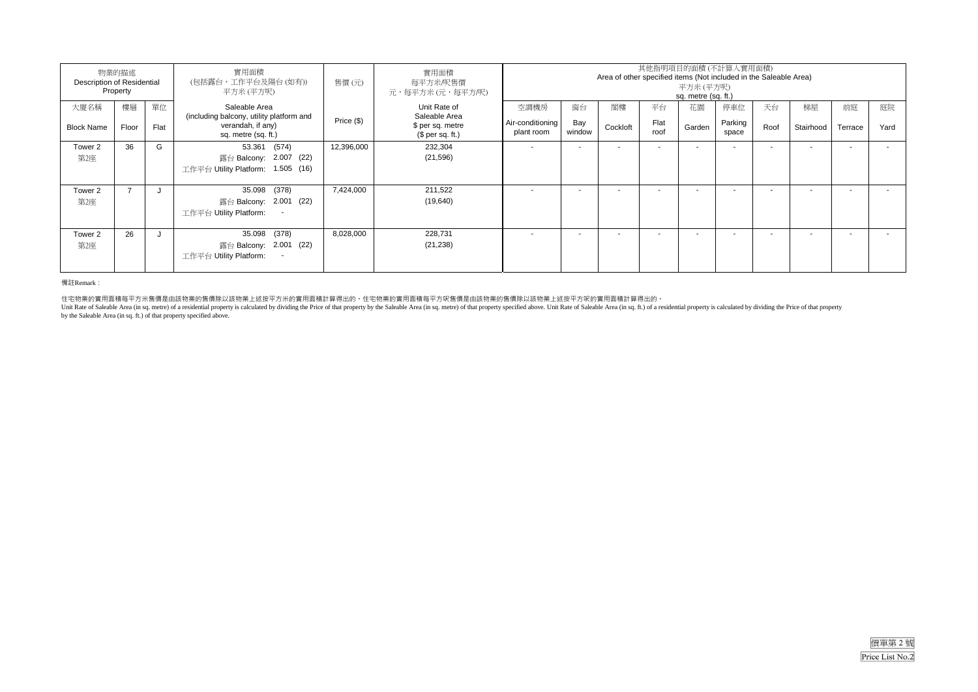| 物業的描述<br>Description of Residential<br>Property |             |            | 實用面積<br>(包括露台,工作平台及陽台(如有))<br>平方米(平方呎)                                                                | 售價(元)      | 實用面積<br>每平方米/呎售價<br>元,每平方米 (元,每平方/呎)                                  | 其他指明項目的面積(不計算入實用面積)<br>Area of other specified items (Not included in the Saleable Area)<br>平方米 (平方呎)<br>sq. metre (sq. ft.) |                          |                          |                    |                          |                          |            |                          |               |            |
|-------------------------------------------------|-------------|------------|-------------------------------------------------------------------------------------------------------|------------|-----------------------------------------------------------------------|------------------------------------------------------------------------------------------------------------------------------|--------------------------|--------------------------|--------------------|--------------------------|--------------------------|------------|--------------------------|---------------|------------|
| 大廈名稱<br><b>Block Name</b>                       | 樓層<br>Floor | 單位<br>Flat | Saleable Area<br>(including balcony, utility platform and<br>verandah, if any)<br>sq. metre (sq. ft.) | Price (\$) | Unit Rate of<br>Saleable Area<br>\$ per sq. metre<br>$$$ per sq. ft.) | 空調機房<br>Air-conditioning<br>plant room                                                                                       | 窗台<br>Bay<br>window      | 閣樓<br>Cockloft           | 平台<br>Flat<br>roof | 花園<br>Garden             | 停車位<br>Parking<br>space  | 天台<br>Roof | 梯屋<br>Stairhood          | 前庭<br>Terrace | 庭院<br>Yard |
| Tower 2<br>第2座                                  | 36          | G          | 53.361 (574)<br>露台 Balcony: 2.007 (22)<br>工作平台 Utility Platform: 1.505 (16)                           | 12,396,000 | 232,304<br>(21, 596)                                                  |                                                                                                                              | $\overline{\phantom{a}}$ | $\overline{\phantom{a}}$ |                    | $\overline{\phantom{a}}$ |                          |            | $\overline{\phantom{a}}$ |               |            |
| Tower 2<br>第2座                                  |             |            | 35.098 (378)<br>露台 Balcony: 2.001 (22)<br>工作平台 Utility Platform:<br>$\overline{\phantom{a}}$          | 7,424,000  | 211.522<br>(19,640)                                                   |                                                                                                                              | $\overline{\phantom{a}}$ |                          |                    | $\overline{\phantom{a}}$ | $\overline{\phantom{a}}$ |            |                          |               |            |
| Tower 2<br>第2座                                  | 26          | J.         | 35.098 (378)<br>露台 Balcony: 2.001 (22)<br>工作平台 Utility Platform:<br>$\overline{\phantom{a}}$          | 8,028,000  | 228,731<br>(21, 238)                                                  |                                                                                                                              |                          |                          |                    |                          |                          |            | ۰                        |               |            |

#### 備註Remark:

住宅物業的實用面積每平方米售價是由該物業的售價除以該物業上述按平方米的實用面積計算得出的。住宅物業的實用面積每平方呎售價是由該物業的售價除以該物業上述按平方呎的實用面積計算得出的。<br>Unit Rate of Saleable Area (in sq. metre) of a residential property is calculated by dividing the Price of that property by the Sa

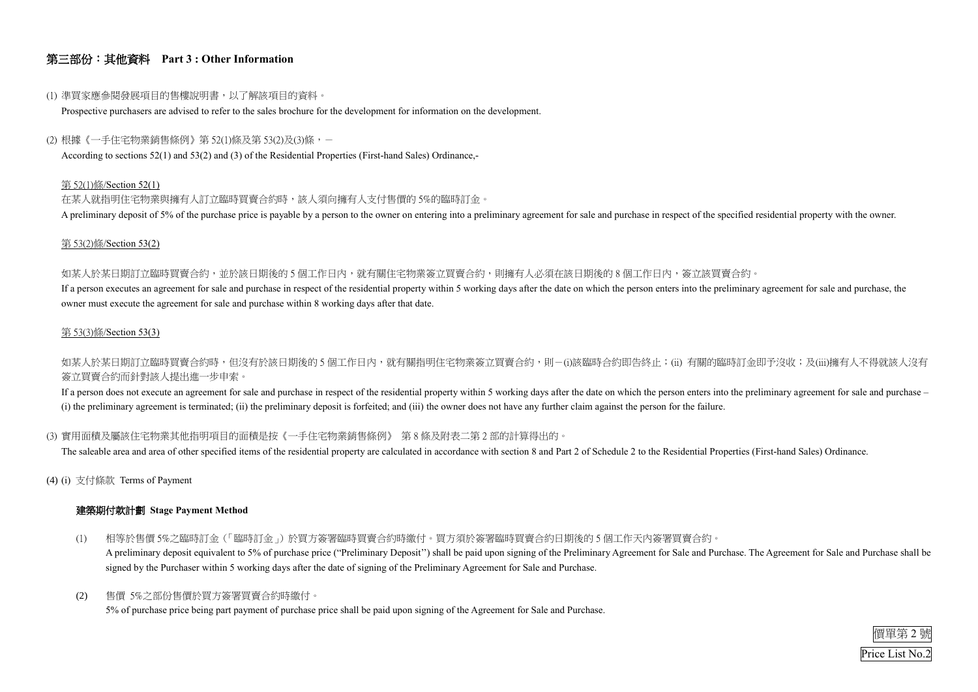

## 第三部份:其他資料 **Part 3 : Other Information**

#### (1) 準買家應參閱發展項目的售樓說明書,以了解該項目的資料。

Prospective purchasers are advised to refer to the sales brochure for the development for information on the development.

#### (2) 根據《一手住宅物業銷售條例》第 52(1)條及第 53(2)及(3)條,-

According to sections 52(1) and 53(2) and (3) of the Residential Properties (First-hand Sales) Ordinance,-

在某人就指明住宅物業與擁有人訂立臨時買賣合約時,該人須向擁有人支付售價的 5%的臨時訂金。 A preliminary deposit of 5% of the purchase price is payable by a person to the owner on entering into a preliminary agreement for sale and purchase in respect of the specified residential property with the owner.

#### 第 52(1)條/Section 52(1)

如某人於某日期訂立臨時買賣合約,並於該日期後的 5 個工作日內,就有關住宅物業簽立買賣合約,則擁有人必須在該日期後的 8 個工作日内,簽立該買賣合約。 If a person executes an agreement for sale and purchase in respect of the residential property within 5 working days after the date on which the person enters into the preliminary agreement for sale and purchase, the owner must execute the agreement for sale and purchase within 8 working days after that date.

如某人於某日期訂立臨時買賣合約時,但沒有於該日期後的5個工作日內,就有關指明住宅物業簽立買賣合約,則-(i)該臨時合約即告終止;(ii) 有關的臨時訂金即予沒收;及(iii)擁有人不得就該人沒有 簽立買賣合約而針對該人提出進一步申索。

#### 第 53(2)條/Section 53(2)

If a person does not execute an agreement for sale and purchase in respect of the residential property within 5 working days after the date on which the person enters into the preliminary agreement for sale and purchase – (i) the preliminary agreement is terminated; (ii) the preliminary deposit is forfeited; and (iii) the owner does not have any further claim against the person for the failure.

#### 第 53(3)條/Section 53(3)

### (3) 實用面積及屬該住宅物業其他指明項目的面積是按《一手住宅物業銷售條例》 第 8 條及附表二第 2 部的計算得出的。

The saleable area and area of other specified items of the residential property are calculated in accordance with section 8 and Part 2 of Schedule 2 to the Residential Properties (First-hand Sales) Ordinance.

(4) (i) 支付條款 Terms of Payment

### 建築期付款計劃 **Stage Payment Method**

- (1) 相等於售價 5%之臨時訂金(「臨時訂金」)於買方簽署臨時買賣合約時繳付。買方須於簽署臨時買賣合約日期後的 5 個工作天內簽署買賣合約。 A preliminary deposit equivalent to 5% of purchase price ("Preliminary Deposit'') shall be paid upon signing of the Preliminary Agreement for Sale and Purchase. The Agreement for Sale and Purchase shall be signed by the Purchaser within 5 working days after the date of signing of the Preliminary Agreement for Sale and Purchase.
- (2) 售價 5%之部份售價於買方簽署買賣合約時繳付。 5% of purchase price being part payment of purchase price shall be paid upon signing of the Agreement for Sale and Purchase.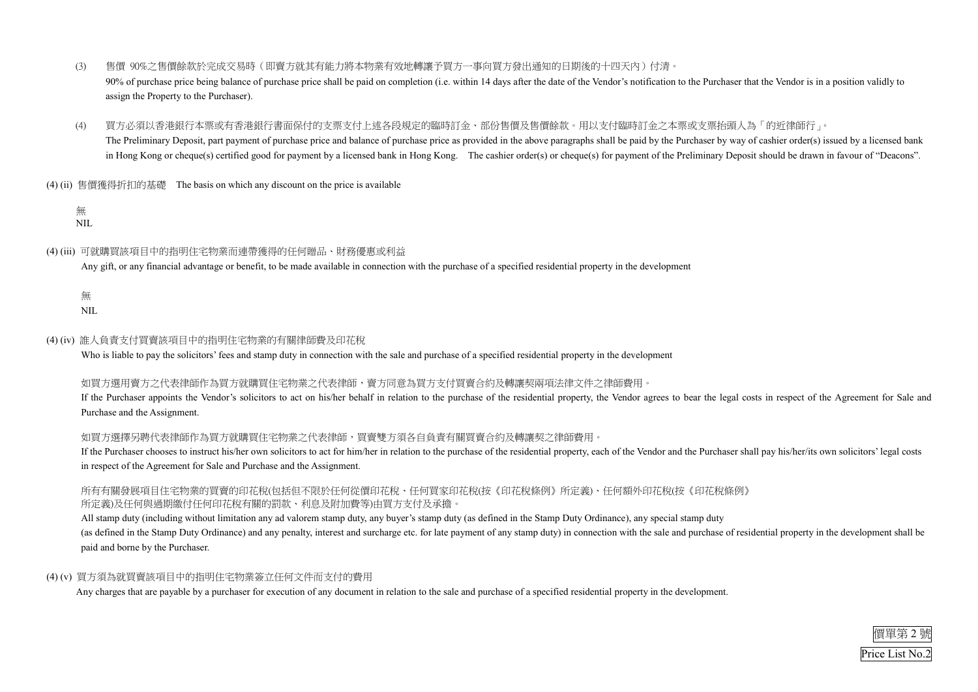

- (3) 售價 90%之售價餘款於完成交易時(即賣方就其有能力將本物業有效地轉讓予買方一事向買方發出通知的日期後的十四天內)付清。 90% of purchase price being balance of purchase price shall be paid on completion (i.e. within 14 days after the date of the Vendor's notification to the Purchaser that the Vendor is in a position validly to assign the Property to the Purchaser).
- (4) 買方必須以香港銀行本票或有香港銀行書面保付的支票支付上述各段規定的臨時訂金、部份售價及售價餘款。用以支付臨時訂金之本票或支票抬頭人為「的近律師行」。 The Preliminary Deposit, part payment of purchase price and balance of purchase price as provided in the above paragraphs shall be paid by the Purchaser by way of cashier order(s) issued by a licensed bank in Hong Kong or cheque(s) certified good for payment by a licensed bank in Hong Kong. The cashier order(s) or cheque(s) for payment of the Preliminary Deposit should be drawn in favour of "Deacons".
- (4) (ii) 售價獲得折扣的基礎 The basis on which any discount on the price is available

#### 無 NIL

### (4) (iii) 可就購買該項目中的指明住宅物業而連帶獲得的任何贈品、財務優惠或利益

### 所有有關發展項目住宅物業的買賣的印花稅(包括但不限於任何從價印花稅、任何買家印花稅(按《印花稅條例》所定義)、任何額外印花稅(按《印花稅條例》 所定義)及任何與過期繳付任何印花稅有關的罰款、利息及附加費等)由買方支付及承擔

Any gift, or any financial advantage or benefit, to be made available in connection with the purchase of a specified residential property in the development

無

NIL

#### (4) (iv) 誰人負責支付買賣該項目中的指明住宅物業的有關律師費及印花稅

Who is liable to pay the solicitors' fees and stamp duty in connection with the sale and purchase of a specified residential property in the development

#### 如買方選用賣方之代表律師復有主物業之代表律師,賣方同意為買方支付買賣合約及轉讓契兩項法律文件之律師費用。

All stamp duty (including without limitation any ad valorem stamp duty, any buyer's stamp duty (as defined in the Stamp Duty Ordinance), any special stamp duty (as defined in the Stamp Duty Ordinance) and any penalty, interest and surcharge etc. for late payment of any stamp duty) in connection with the sale and purchase of residential property in the development shall be paid and borne by the Purchaser.

If the Purchaser appoints the Vendor's solicitors to act on his/her behalf in relation to the purchase of the residential property, the Vendor agrees to bear the legal costs in respect of the Agreement for Sale and Purchase and the Assignment.

#### 如買方選擇另聘代表律師作為買方就購買住宅物業之代表律師,買賣雙方須各自負責有關買賣合約及轉讓契之律師費用。

If the Purchaser chooses to instruct his/her own solicitors to act for him/her in relation to the purchase of the residential property, each of the Vendor and the Purchaser shall pay his/her/its own solicitors' legal costs in respect of the Agreement for Sale and Purchase and the Assignment.

### (4) (v) 買方須為就買賣該項目中的指明住宅物業簽立任何文件而支付的費用

Any charges that are payable by a purchaser for execution of any document in relation to the sale and purchase of a specified residential property in the development.